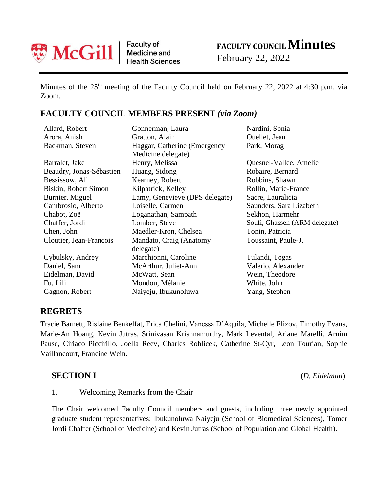

Faculty of<br>Medicine and **Health Sciences** 

# **FACULTY COUNCILMinutes**

February 22, 2022

Minutes of the 25<sup>th</sup> meeting of the Faculty Council held on February 22, 2022 at 4:30 p.m. via Zoom.

### **FACULTY COUNCIL MEMBERS PRESENT** *(via Zoom)*

| Allard, Robert           | Gonnerman, Laura               | Nardini, Sonia                |
|--------------------------|--------------------------------|-------------------------------|
| Arora, Anish             | Gratton, Alain                 | Ouellet, Jean                 |
| Backman, Steven          | Haggar, Catherine (Emergency)  | Park, Morag                   |
|                          | Medicine delegate)             |                               |
| Barralet, Jake           | Henry, Melissa                 | Quesnel-Vallee, Amelie        |
| Beaudry, Jonas-Sébastien | Huang, Sidong                  | Robaire, Bernard              |
| Bessissow, Ali           | Kearney, Robert                | Robbins, Shawn                |
| Biskin, Robert Simon     | Kilpatrick, Kelley             | Rollin, Marie-France          |
| Burnier, Miguel          | Lamy, Genevieve (DPS delegate) | Sacre, Lauralicia             |
| Cambrosio, Alberto       | Loiselle, Carmen               | Saunders, Sara Lizabeth       |
| Chabot, Zoë              | Loganathan, Sampath            | Sekhon, Harmehr               |
| Chaffer, Jordi           | Lomber, Steve                  | Soufi, Ghassen (ARM delegate) |
| Chen, John               | Maedler-Kron, Chelsea          | Tonin, Patricia               |
| Cloutier, Jean-Francois  | Mandato, Craig (Anatomy        | Toussaint, Paule-J.           |
|                          | delegate)                      |                               |
| Cybulsky, Andrey         | Marchionni, Caroline           | Tulandi, Togas                |
| Daniel, Sam              | McArthur, Juliet-Ann           | Valerio, Alexander            |
| Eidelman, David          | McWatt, Sean                   | Wein, Theodore                |
| Fu, Lili                 | Mondou, Mélanie                | White, John                   |
| Gagnon, Robert           | Naiyeju, Ibukunoluwa           | Yang, Stephen                 |

#### **REGRETS**

Tracie Barnett, Rislaine Benkelfat, Erica Chelini, Vanessa D'Aquila, Michelle Elizov, Timothy Evans, Marie-An Hoang, Kevin Jutras, Srinivasan Krishnamurthy, Mark Levental, Ariane Marelli, Arnim Pause, Ciriaco Piccirillo, Joella Reev, Charles Rohlicek, Catherine St-Cyr, Leon Tourian, Sophie Vaillancourt, Francine Wein.

#### **SECTION I** (*D. Eidelman*)

1. Welcoming Remarks from the Chair

The Chair welcomed Faculty Council members and guests, including three newly appointed graduate student representatives: Ibukunoluwa Naiyeju (School of Biomedical Sciences), Tomer Jordi Chaffer (School of Medicine) and Kevin Jutras (School of Population and Global Health).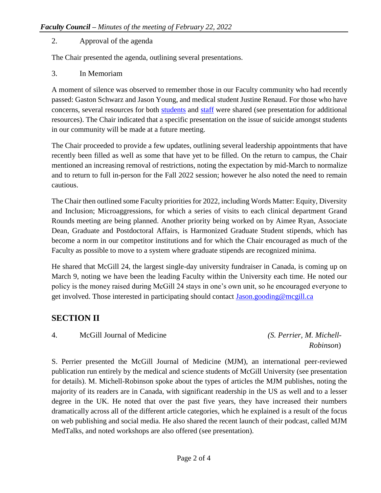#### 2. Approval of the agenda

The Chair presented the agenda, outlining several presentations.

3. In Memoriam

A moment of silence was observed to remember those in our Faculty community who had recently passed: Gaston Schwarz and Jason Young, and medical student Justine Renaud. For those who have concerns, several resources for both [students](https://www.mcgill.ca/thewelloffice/) and [staff](https://www.mcgill.ca/hr/benefits/employee-and-family-assistance-program-efap) were shared (see presentation for additional resources). The Chair indicated that a specific presentation on the issue of suicide amongst students in our community will be made at a future meeting.

The Chair proceeded to provide a few updates, outlining several leadership appointments that have recently been filled as well as some that have yet to be filled. On the return to campus, the Chair mentioned an increasing removal of restrictions, noting the expectation by mid-March to normalize and to return to full in-person for the Fall 2022 session; however he also noted the need to remain cautious.

The Chair then outlined some Faculty priorities for 2022, including Words Matter: Equity, Diversity and Inclusion; Microaggressions, for which a series of visits to each clinical department Grand Rounds meeting are being planned. Another priority being worked on by Aimee Ryan, Associate Dean, Graduate and Postdoctoral Affairs, is Harmonized Graduate Student stipends, which has become a norm in our competitor institutions and for which the Chair encouraged as much of the Faculty as possible to move to a system where graduate stipends are recognized minima.

He shared that McGill 24, the largest single-day university fundraiser in Canada, is coming up on March 9, noting we have been the leading Faculty within the University each time. He noted our policy is the money raised during McGill 24 stays in one's own unit, so he encouraged everyone to get involved. Those interested in participating should contact [Jason.gooding@mcgill.ca](mailto:Jason.gooding@mcgill.ca)

#### **SECTION II**

4. McGill Journal of Medicine *(S. Perrier, M. Michell-* 

 *Robinson*)

S. Perrier presented the McGill Journal of Medicine (MJM), an international peer-reviewed publication run entirely by the medical and science students of McGill University (see presentation for details). M. Michell-Robinson spoke about the types of articles the MJM publishes, noting the majority of its readers are in Canada, with significant readership in the US as well and to a lesser degree in the UK. He noted that over the past five years, they have increased their numbers dramatically across all of the different article categories, which he explained is a result of the focus on web publishing and social media. He also shared the recent launch of their podcast, called MJM MedTalks, and noted workshops are also offered (see presentation).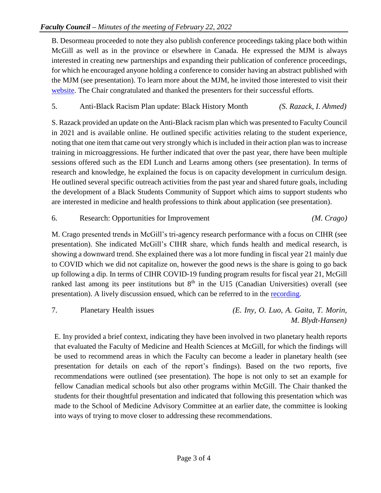B. Desormeau proceeded to note they also publish conference proceedings taking place both within McGill as well as in the province or elsewhere in Canada. He expressed the MJM is always interested in creating new partnerships and expanding their publication of conference proceedings, for which he encouraged anyone holding a conference to consider having an abstract published with the MJM (see presentation). To learn more about the MJM, he invited those interested to visit their [website.](http://www.mjmmed.com/) The Chair congratulated and thanked the presenters for their successful efforts.

#### 5. Anti-Black Racism Plan update: Black History Month *(S. Razack, I. Ahmed)*

S. Razack provided an update on the Anti-Black racism plan which was presented to Faculty Council in 2021 and is available online. He outlined specific activities relating to the student experience, noting that one item that came out very strongly which is included in their action plan was to increase training in microaggressions. He further indicated that over the past year, there have been multiple sessions offered such as the EDI Lunch and Learns among others (see presentation). In terms of research and knowledge, he explained the focus is on capacity development in curriculum design. He outlined several specific outreach activities from the past year and shared future goals, including the development of a Black Students Community of Support which aims to support students who are interested in medicine and health professions to think about application (see presentation).

#### 6. Research: Opportunities for Improvement *(M. Crago)*

M. Crago presented trends in McGill's tri-agency research performance with a focus on CIHR (see presentation). She indicated McGill's CIHR share, which funds health and medical research, is showing a downward trend. She explained there was a lot more funding in fiscal year 21 mainly due to COVID which we did not capitalize on, however the good news is the share is going to go back up following a dip. In terms of CIHR COVID-19 funding program results for fiscal year 21, McGill ranked last among its peer institutions but  $8<sup>th</sup>$  in the U15 (Canadian Universities) overall (see presentation). A lively discussion ensued, which can be referred to in the [recording.](https://www.youtube.com/watch?v=04sJ5PiMwnU&list=PLfMfJihLOASWl4s7ZkifGM9AX2HFGxhll&index=1)

7. Planetary Health issues *(E. Iny, O. Luo, A. Gaita, T. Morin, M. Blydt-Hansen)*

E. Iny provided a brief context, indicating they have been involved in two planetary health reports that evaluated the Faculty of Medicine and Health Sciences at McGill, for which the findings will be used to recommend areas in which the Faculty can become a leader in planetary health (see presentation for details on each of the report's findings). Based on the two reports, five recommendations were outlined (see presentation). The hope is not only to set an example for fellow Canadian medical schools but also other programs within McGill. The Chair thanked the students for their thoughtful presentation and indicated that following this presentation which was made to the School of Medicine Advisory Committee at an earlier date, the committee is looking into ways of trying to move closer to addressing these recommendations.